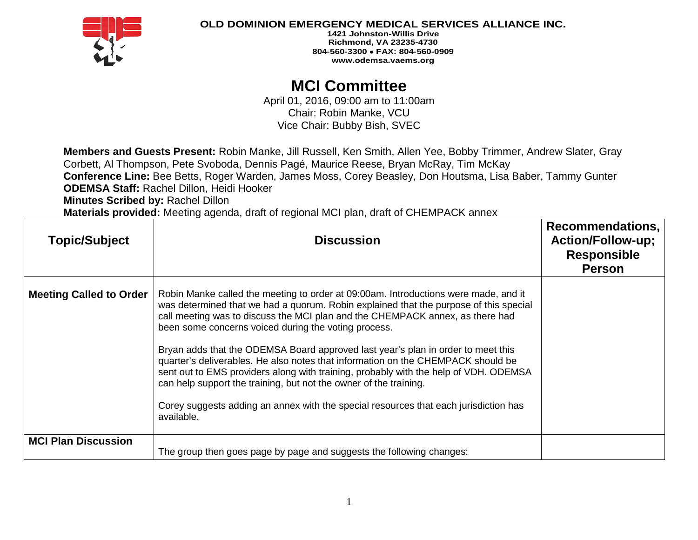

**1421 Johnston-Willis Drive Richmond, VA 23235-4730 804-560-3300** • **FAX: 804-560-0909 www.odemsa.vaems.org**

# **MCI Committee**

April 01, 2016, 09:00 am to 11:00am Chair: Robin Manke, VCU Vice Chair: Bubby Bish, SVEC

**Members and Guests Present:** Robin Manke, Jill Russell, Ken Smith, Allen Yee, Bobby Trimmer, Andrew Slater, Gray Corbett, Al Thompson, Pete Svoboda, Dennis Pagé, Maurice Reese, Bryan McRay, Tim McKay **Conference Line:** Bee Betts, Roger Warden, James Moss, Corey Beasley, Don Houtsma, Lisa Baber, Tammy Gunter **ODEMSA Staff:** Rachel Dillon, Heidi Hooker

**Minutes Scribed by:** Rachel Dillon

**Materials provided:** Meeting agenda, draft of regional MCI plan, draft of CHEMPACK annex

| <b>Topic/Subject</b>           | <b>Discussion</b>                                                                                                                                                                                                                                                                                                                                                                                                                                                                                                                                                                                                                                                                                                                                                | Recommendations,<br><b>Action/Follow-up;</b><br><b>Responsible</b><br><b>Person</b> |
|--------------------------------|------------------------------------------------------------------------------------------------------------------------------------------------------------------------------------------------------------------------------------------------------------------------------------------------------------------------------------------------------------------------------------------------------------------------------------------------------------------------------------------------------------------------------------------------------------------------------------------------------------------------------------------------------------------------------------------------------------------------------------------------------------------|-------------------------------------------------------------------------------------|
| <b>Meeting Called to Order</b> | Robin Manke called the meeting to order at 09:00am. Introductions were made, and it<br>was determined that we had a quorum. Robin explained that the purpose of this special<br>call meeting was to discuss the MCI plan and the CHEMPACK annex, as there had<br>been some concerns voiced during the voting process.<br>Bryan adds that the ODEMSA Board approved last year's plan in order to meet this<br>quarter's deliverables. He also notes that information on the CHEMPACK should be<br>sent out to EMS providers along with training, probably with the help of VDH. ODEMSA<br>can help support the training, but not the owner of the training.<br>Corey suggests adding an annex with the special resources that each jurisdiction has<br>available. |                                                                                     |
| <b>MCI Plan Discussion</b>     | The group then goes page by page and suggests the following changes:                                                                                                                                                                                                                                                                                                                                                                                                                                                                                                                                                                                                                                                                                             |                                                                                     |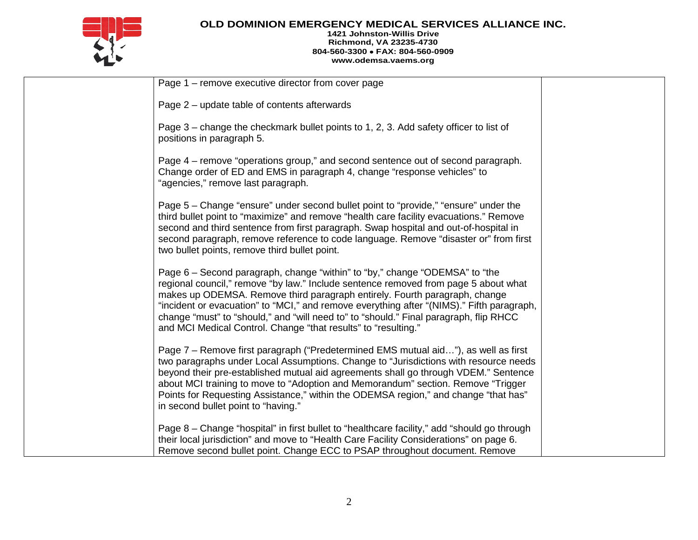

#### **1421 Johnston-Willis Drive Richmond, VA 23235-4730 804-560-3300** • **FAX: 804-560-0909 www.odemsa.vaems.org**

| Page 1 – remove executive director from cover page                                                                                                                                                                                                                                                                                                                                                                                                                                                       |  |
|----------------------------------------------------------------------------------------------------------------------------------------------------------------------------------------------------------------------------------------------------------------------------------------------------------------------------------------------------------------------------------------------------------------------------------------------------------------------------------------------------------|--|
| Page 2 – update table of contents afterwards                                                                                                                                                                                                                                                                                                                                                                                                                                                             |  |
| Page 3 – change the checkmark bullet points to 1, 2, 3. Add safety officer to list of<br>positions in paragraph 5.                                                                                                                                                                                                                                                                                                                                                                                       |  |
| Page 4 – remove "operations group," and second sentence out of second paragraph.<br>Change order of ED and EMS in paragraph 4, change "response vehicles" to<br>"agencies," remove last paragraph.                                                                                                                                                                                                                                                                                                       |  |
| Page 5 – Change "ensure" under second bullet point to "provide," "ensure" under the<br>third bullet point to "maximize" and remove "health care facility evacuations." Remove<br>second and third sentence from first paragraph. Swap hospital and out-of-hospital in<br>second paragraph, remove reference to code language. Remove "disaster or" from first<br>two bullet points, remove third bullet point.                                                                                           |  |
| Page 6 – Second paragraph, change "within" to "by," change "ODEMSA" to "the<br>regional council," remove "by law." Include sentence removed from page 5 about what<br>makes up ODEMSA. Remove third paragraph entirely. Fourth paragraph, change<br>"incident or evacuation" to "MCI," and remove everything after "(NIMS)." Fifth paragraph,<br>change "must" to "should," and "will need to" to "should." Final paragraph, flip RHCC<br>and MCI Medical Control. Change "that results" to "resulting." |  |
| Page 7 – Remove first paragraph ("Predetermined EMS mutual aid"), as well as first<br>two paragraphs under Local Assumptions. Change to "Jurisdictions with resource needs<br>beyond their pre-established mutual aid agreements shall go through VDEM." Sentence<br>about MCI training to move to "Adoption and Memorandum" section. Remove "Trigger<br>Points for Requesting Assistance," within the ODEMSA region," and change "that has"<br>in second bullet point to "having."                      |  |
| Page 8 – Change "hospital" in first bullet to "healthcare facility," add "should go through<br>their local jurisdiction" and move to "Health Care Facility Considerations" on page 6.<br>Remove second bullet point. Change ECC to PSAP throughout document. Remove                                                                                                                                                                                                                                      |  |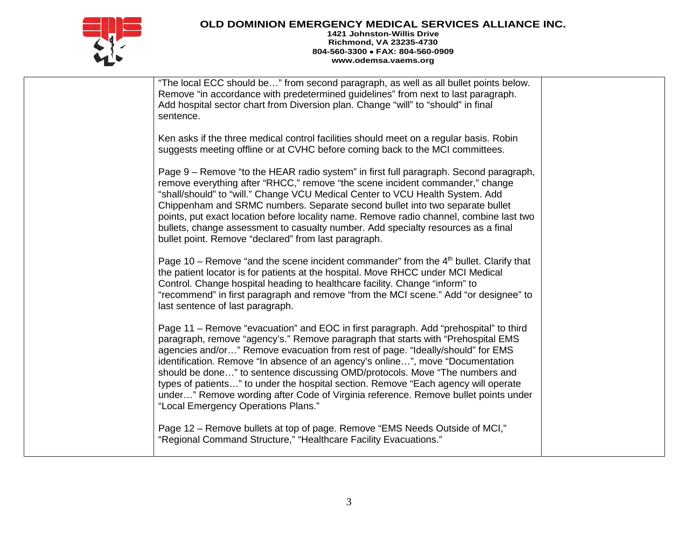

#### **1421 Johnston-Willis Drive Richmond, VA 23235-4730 804-560-3300** • **FAX: 804-560-0909 www.odemsa.vaems.org**

| "The local ECC should be" from second paragraph, as well as all bullet points below.<br>Remove "in accordance with predetermined guidelines" from next to last paragraph.<br>Add hospital sector chart from Diversion plan. Change "will" to "should" in final<br>sentence.                                                                                                                                                                                                                                                                                                                                                                     |  |
|-------------------------------------------------------------------------------------------------------------------------------------------------------------------------------------------------------------------------------------------------------------------------------------------------------------------------------------------------------------------------------------------------------------------------------------------------------------------------------------------------------------------------------------------------------------------------------------------------------------------------------------------------|--|
| Ken asks if the three medical control facilities should meet on a regular basis. Robin<br>suggests meeting offline or at CVHC before coming back to the MCI committees.                                                                                                                                                                                                                                                                                                                                                                                                                                                                         |  |
| Page 9 - Remove "to the HEAR radio system" in first full paragraph. Second paragraph,<br>remove everything after "RHCC," remove "the scene incident commander," change<br>"shall/should" to "will." Change VCU Medical Center to VCU Health System. Add<br>Chippenham and SRMC numbers. Separate second bullet into two separate bullet<br>points, put exact location before locality name. Remove radio channel, combine last two<br>bullets, change assessment to casualty number. Add specialty resources as a final<br>bullet point. Remove "declared" from last paragraph.                                                                 |  |
| Page 10 – Remove "and the scene incident commander" from the $4th$ bullet. Clarify that<br>the patient locator is for patients at the hospital. Move RHCC under MCI Medical<br>Control. Change hospital heading to healthcare facility. Change "inform" to<br>"recommend" in first paragraph and remove "from the MCI scene." Add "or designee" to<br>last sentence of last paragraph.                                                                                                                                                                                                                                                          |  |
| Page 11 – Remove "evacuation" and EOC in first paragraph. Add "prehospital" to third<br>paragraph, remove "agency's." Remove paragraph that starts with "Prehospital EMS<br>agencies and/or" Remove evacuation from rest of page. "Ideally/should" for EMS<br>identification. Remove "In absence of an agency's online", move "Documentation"<br>should be done" to sentence discussing OMD/protocols. Move "The numbers and<br>types of patients" to under the hospital section. Remove "Each agency will operate<br>under" Remove wording after Code of Virginia reference. Remove bullet points under<br>"Local Emergency Operations Plans." |  |
| Page 12 – Remove bullets at top of page. Remove "EMS Needs Outside of MCI,"<br>"Regional Command Structure," "Healthcare Facility Evacuations."                                                                                                                                                                                                                                                                                                                                                                                                                                                                                                 |  |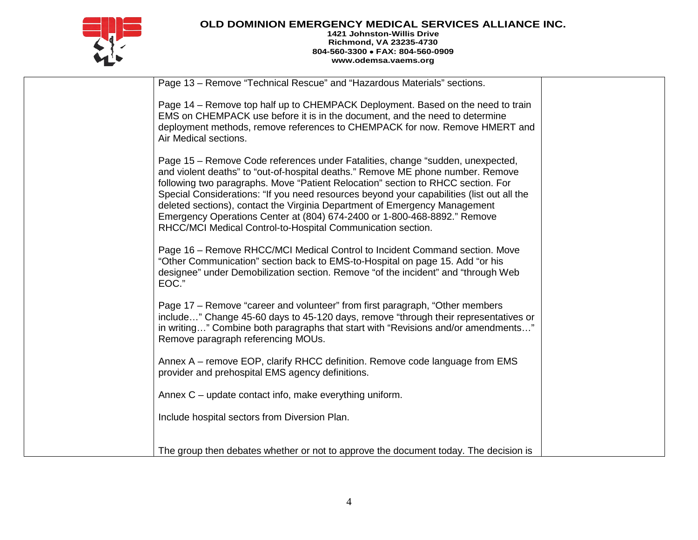

#### **1421 Johnston-Willis Drive Richmond, VA 23235-4730 804-560-3300** • **FAX: 804-560-0909 www.odemsa.vaems.org**

| Page 13 - Remove "Technical Rescue" and "Hazardous Materials" sections.                                                                                                                                                                                                                                                                                                                                                                                                                                                                                                     |  |
|-----------------------------------------------------------------------------------------------------------------------------------------------------------------------------------------------------------------------------------------------------------------------------------------------------------------------------------------------------------------------------------------------------------------------------------------------------------------------------------------------------------------------------------------------------------------------------|--|
| Page 14 – Remove top half up to CHEMPACK Deployment. Based on the need to train<br>EMS on CHEMPACK use before it is in the document, and the need to determine<br>deployment methods, remove references to CHEMPACK for now. Remove HMERT and<br>Air Medical sections.                                                                                                                                                                                                                                                                                                      |  |
| Page 15 - Remove Code references under Fatalities, change "sudden, unexpected,<br>and violent deaths" to "out-of-hospital deaths." Remove ME phone number. Remove<br>following two paragraphs. Move "Patient Relocation" section to RHCC section. For<br>Special Considerations: "If you need resources beyond your capabilities (list out all the<br>deleted sections), contact the Virginia Department of Emergency Management<br>Emergency Operations Center at (804) 674-2400 or 1-800-468-8892." Remove<br>RHCC/MCI Medical Control-to-Hospital Communication section. |  |
| Page 16 - Remove RHCC/MCI Medical Control to Incident Command section. Move<br>"Other Communication" section back to EMS-to-Hospital on page 15. Add "or his<br>designee" under Demobilization section. Remove "of the incident" and "through Web<br>EOC."                                                                                                                                                                                                                                                                                                                  |  |
| Page 17 – Remove "career and volunteer" from first paragraph, "Other members"<br>include" Change 45-60 days to 45-120 days, remove "through their representatives or<br>in writing" Combine both paragraphs that start with "Revisions and/or amendments"<br>Remove paragraph referencing MOUs.                                                                                                                                                                                                                                                                             |  |
| Annex A – remove EOP, clarify RHCC definition. Remove code language from EMS<br>provider and prehospital EMS agency definitions.                                                                                                                                                                                                                                                                                                                                                                                                                                            |  |
| Annex C – update contact info, make everything uniform.                                                                                                                                                                                                                                                                                                                                                                                                                                                                                                                     |  |
| Include hospital sectors from Diversion Plan.                                                                                                                                                                                                                                                                                                                                                                                                                                                                                                                               |  |
| The group then debates whether or not to approve the document today. The decision is                                                                                                                                                                                                                                                                                                                                                                                                                                                                                        |  |